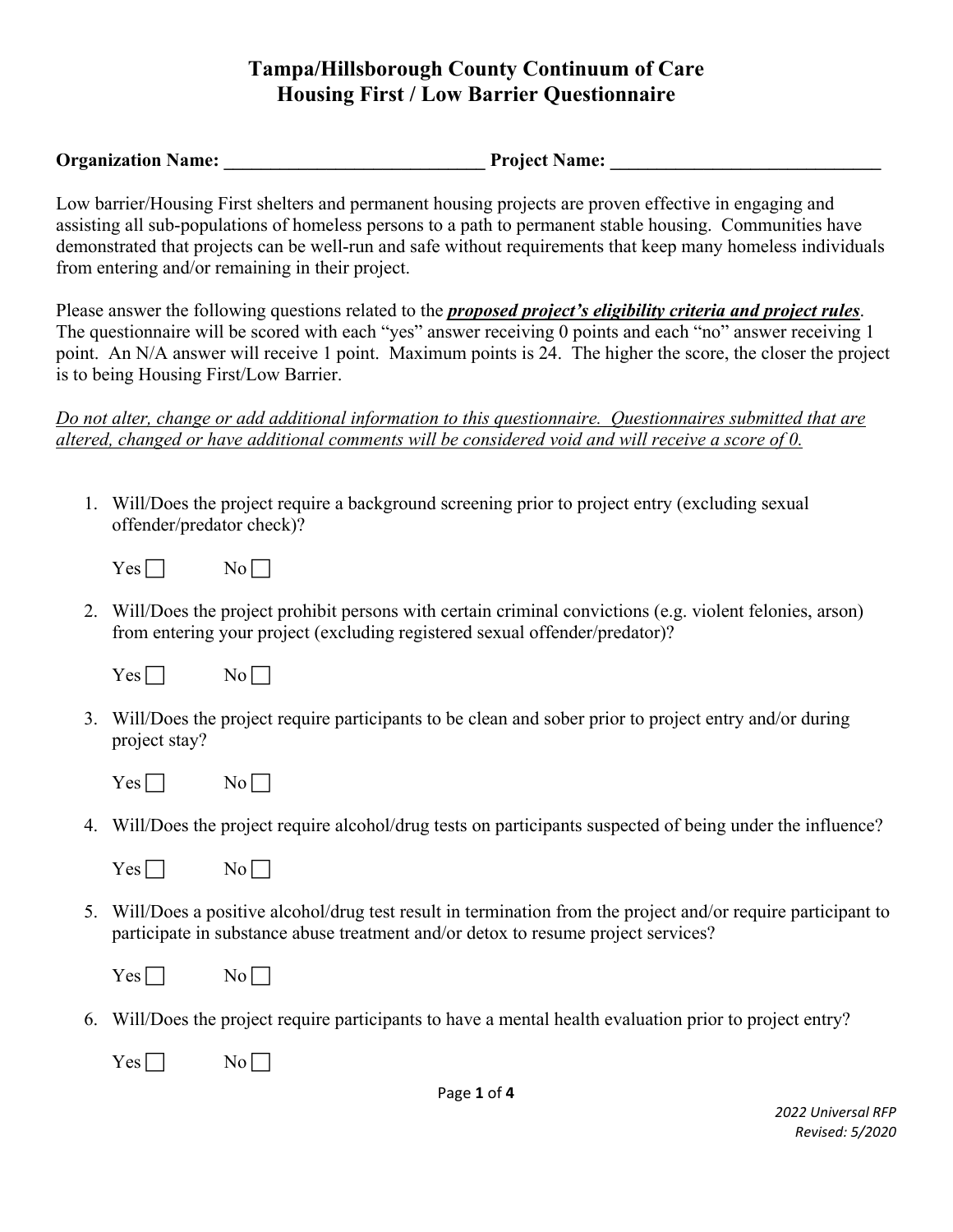**Organization Name:**  $\rho$  **Project Name:**  $\rho$ 

Low barrier/Housing First shelters and permanent housing projects are proven effective in engaging and assisting all sub-populations of homeless persons to a path to permanent stable housing. Communities have demonstrated that projects can be well-run and safe without requirements that keep many homeless individuals from entering and/or remaining in their project.

Please answer the following questions related to the *proposed project's eligibility criteria and project rules*. The questionnaire will be scored with each "yes" answer receiving 0 points and each "no" answer receiving 1 point. An N/A answer will receive 1 point. Maximum points is 24. The higher the score, the closer the project is to being Housing First/Low Barrier.

*Do not alter, change or add additional information to this questionnaire. Questionnaires submitted that are altered, changed or have additional comments will be considered void and will receive a score of 0.* 

1. Will/Does the project require a background screening prior to project entry (excluding sexual offender/predator check)?

 $Yes \Box$  No

2. Will/Does the project prohibit persons with certain criminal convictions (e.g. violent felonies, arson) from entering your project (excluding registered sexual offender/predator)?



- 3. Will/Does the project require participants to be clean and sober prior to project entry and/or during project stay?
	- $Yes \Box$  No  $\Box$
- 4. Will/Does the project require alcohol/drug tests on participants suspected of being under the influence?

| es | NO. |
|----|-----|
|----|-----|

5. Will/Does a positive alcohol/drug test result in termination from the project and/or require participant to participate in substance abuse treatment and/or detox to resume project services?

| ∸<br>- |  |
|--------|--|
|--------|--|

- 6. Will/Does the project require participants to have a mental health evaluation prior to project entry?
	- $Yes \Box$  No  $\Box$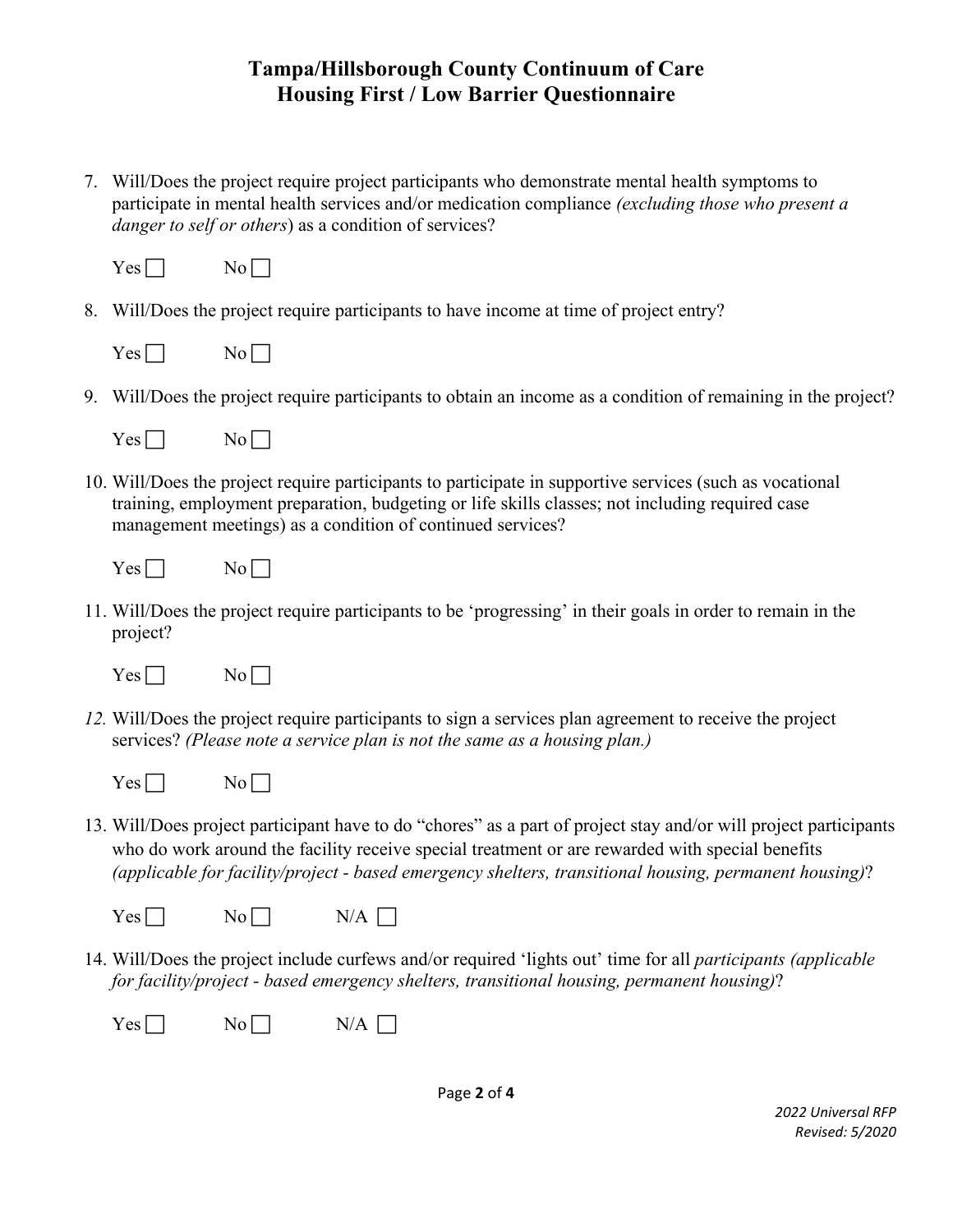7. Will/Does the project require project participants who demonstrate mental health symptoms to participate in mental health services and/or medication compliance *(excluding those who present a danger to self or others*) as a condition of services?

| es | N۵ |
|----|----|
|    |    |

8. Will/Does the project require participants to have income at time of project entry?

| es: | NΩ |
|-----|----|
|-----|----|

9. Will/Does the project require participants to obtain an income as a condition of remaining in the project?

| -5<br>$\overline{\phantom{0}}$ |  |
|--------------------------------|--|
|--------------------------------|--|

10. Will/Does the project require participants to participate in supportive services (such as vocational training, employment preparation, budgeting or life skills classes; not including required case management meetings) as a condition of continued services?

| ν<br>--<br>- -<br>-<br>- |  |
|--------------------------|--|
|--------------------------|--|

11. Will/Does the project require participants to be 'progressing' in their goals in order to remain in the project?



- *12.* Will/Does the project require participants to sign a services plan agreement to receive the project services? *(Please note a service plan is not the same as a housing plan.)* 
	- $Yes \Box$  No  $\Box$
- 13. Will/Does project participant have to do "chores" as a part of project stay and/or will project participants who do work around the facility receive special treatment or are rewarded with special benefits *(applicable for facility/project - based emergency shelters, transitional housing, permanent housing)*?

| Yes I<br>- | - | r.<br>A<br>I |
|------------|---|--------------|
|------------|---|--------------|

14. Will/Does the project include curfews and/or required 'lights out' time for all *participants (applicable for facility/project - based emergency shelters, transitional housing, permanent housing)*?

| <b>Yes</b><br>- | NT. | N/A |
|-----------------|-----|-----|
|-----------------|-----|-----|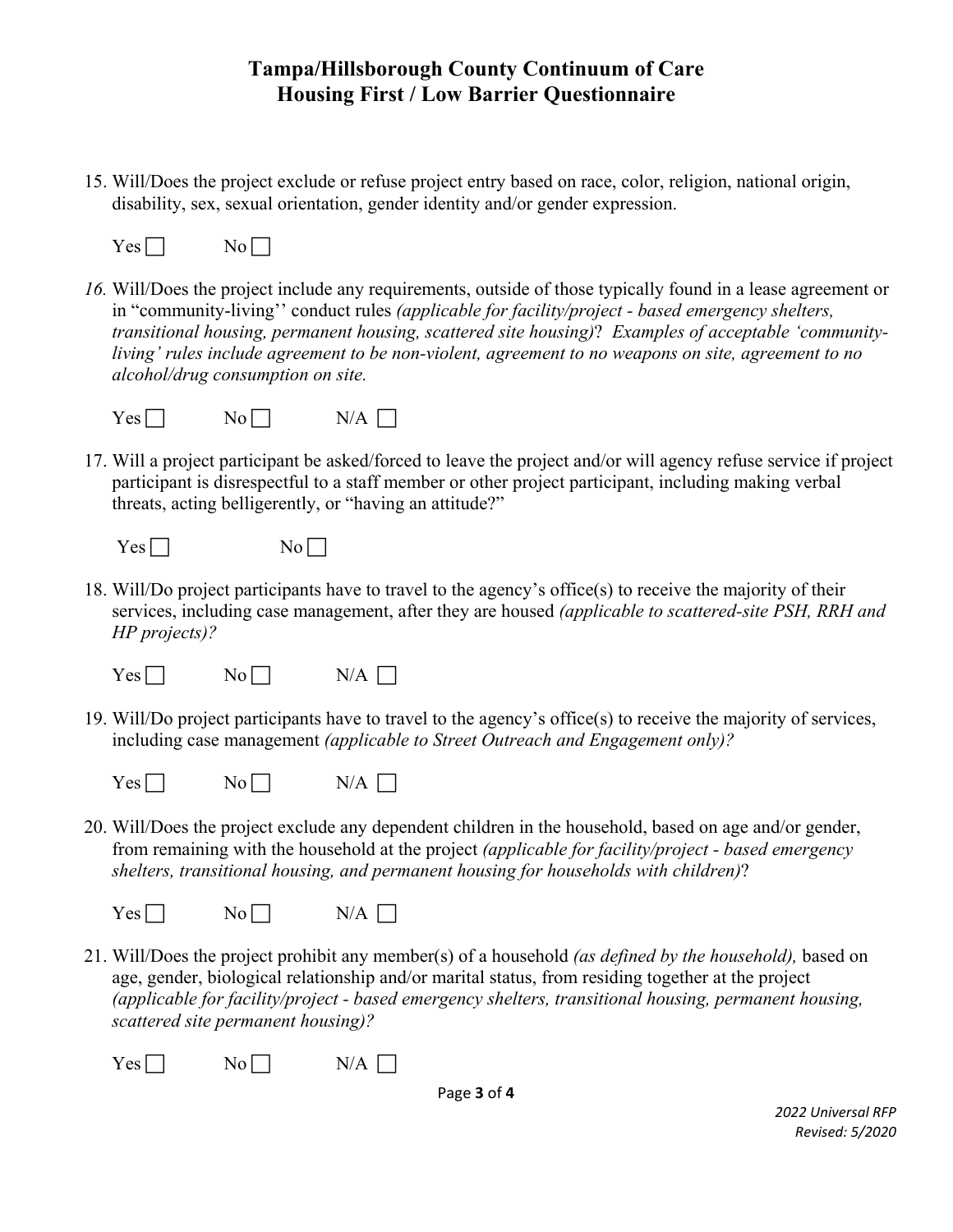15. Will/Does the project exclude or refuse project entry based on race, color, religion, national origin, disability, sex, sexual orientation, gender identity and/or gender expression.

```
Yes \Box No \Box
```
*16.* Will/Does the project include any requirements, outside of those typically found in a lease agreement or in "community-living'' conduct rules *(applicable for facility/project - based emergency shelters, transitional housing, permanent housing, scattered site housing)*? *Examples of acceptable 'communityliving' rules include agreement to be non-violent, agreement to no weapons on site, agreement to no alcohol/drug consumption on site.* 



17. Will a project participant be asked/forced to leave the project and/or will agency refuse service if project participant is disrespectful to a staff member or other project participant, including making verbal threats, acting belligerently, or "having an attitude?"

|     | ١      |
|-----|--------|
| es  | N 6    |
| -   | $\sim$ |
| - - |        |
|     |        |

18. Will/Do project participants have to travel to the agency's office(s) to receive the majority of their services, including case management, after they are housed *(applicable to scattered-site PSH, RRH and HP projects)?*

| Yes <sub>l</sub> | No l     | $N/A$ $\lceil$ |
|------------------|----------|----------------|
| - - -            | <u>—</u> |                |

19. Will/Do project participants have to travel to the agency's office(s) to receive the majority of services, including case management *(applicable to Street Outreach and Engagement only)?*

| Y<br><b>NT.</b><br>~ I<br>es<br>- -<br>- -- | NI<br>ʻA |
|---------------------------------------------|----------|
|---------------------------------------------|----------|

20. Will/Does the project exclude any dependent children in the household, based on age and/or gender, from remaining with the household at the project *(applicable for facility/project - based emergency shelters, transitional housing, and permanent housing for households with children)*?

```
Yes \Box No N/A \Box
```
21. Will/Does the project prohibit any member(s) of a household *(as defined by the household),* based on age, gender, biological relationship and/or marital status, from residing together at the project *(applicable for facility/project - based emergency shelters, transitional housing, permanent housing, scattered site permanent housing)?*

 $Yes \Box$  No  $N/A \Box$